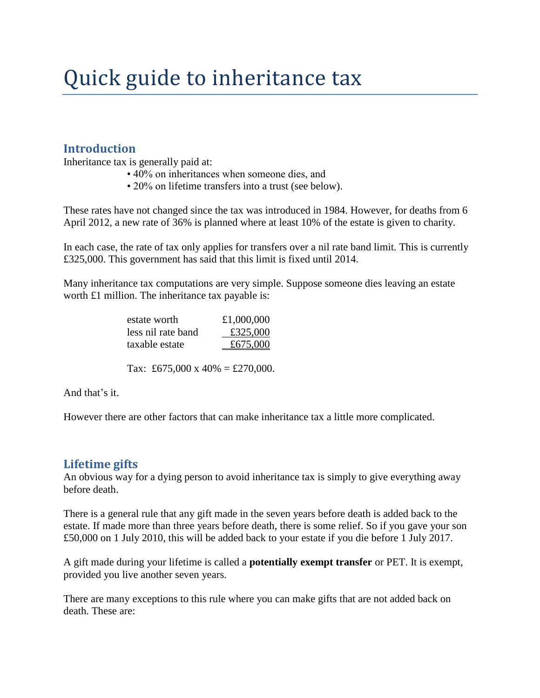# Quick guide to inheritance tax

#### **Introduction**

Inheritance tax is generally paid at:

- 40% on inheritances when someone dies, and
- 20% on lifetime transfers into a trust (see below).

These rates have not changed since the tax was introduced in 1984. However, for deaths from 6 April 2012, a new rate of 36% is planned where at least 10% of the estate is given to charity.

In each case, the rate of tax only applies for transfers over a nil rate band limit. This is currently £325,000. This government has said that this limit is fixed until 2014.

Many inheritance tax computations are very simple. Suppose someone dies leaving an estate worth £1 million. The inheritance tax payable is:

| estate worth       | £1,000,000 |
|--------------------|------------|
| less nil rate band | £325,000   |
| taxable estate     | £675,000   |

Tax: £675,000 x 40% = £270,000.

And that's it.

However there are other factors that can make inheritance tax a little more complicated.

#### **Lifetime gifts**

An obvious way for a dying person to avoid inheritance tax is simply to give everything away before death.

There is a general rule that any gift made in the seven years before death is added back to the estate. If made more than three years before death, there is some relief. So if you gave your son £50,000 on 1 July 2010, this will be added back to your estate if you die before 1 July 2017.

A gift made during your lifetime is called a **potentially exempt transfer** or PET. It is exempt, provided you live another seven years.

There are many exceptions to this rule where you can make gifts that are not added back on death. These are: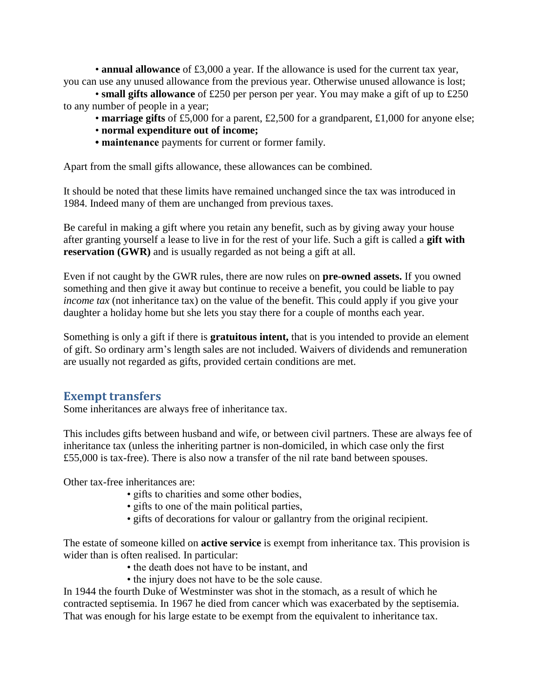• **annual allowance** of £3,000 a year. If the allowance is used for the current tax year, you can use any unused allowance from the previous year. Otherwise unused allowance is lost;

• **small gifts allowance** of £250 per person per year. You may make a gift of up to £250 to any number of people in a year;

- **marriage gifts** of £5,000 for a parent, £2,500 for a grandparent, £1,000 for anyone else;
- **normal expenditure out of income;**
- **maintenance** payments for current or former family.

Apart from the small gifts allowance, these allowances can be combined.

It should be noted that these limits have remained unchanged since the tax was introduced in 1984. Indeed many of them are unchanged from previous taxes.

Be careful in making a gift where you retain any benefit, such as by giving away your house after granting yourself a lease to live in for the rest of your life. Such a gift is called a **gift with reservation (GWR)** and is usually regarded as not being a gift at all.

Even if not caught by the GWR rules, there are now rules on **pre-owned assets.** If you owned something and then give it away but continue to receive a benefit, you could be liable to pay *income tax* (not inheritance tax) on the value of the benefit. This could apply if you give your daughter a holiday home but she lets you stay there for a couple of months each year.

Something is only a gift if there is **gratuitous intent,** that is you intended to provide an element of gift. So ordinary arm's length sales are not included. Waivers of dividends and remuneration are usually not regarded as gifts, provided certain conditions are met.

#### **Exempt transfers**

Some inheritances are always free of inheritance tax.

This includes gifts between husband and wife, or between civil partners. These are always fee of inheritance tax (unless the inheriting partner is non-domiciled, in which case only the first £55,000 is tax-free). There is also now a transfer of the nil rate band between spouses.

Other tax-free inheritances are:

- gifts to charities and some other bodies,
- gifts to one of the main political parties,
- gifts of decorations for valour or gallantry from the original recipient.

The estate of someone killed on **active service** is exempt from inheritance tax. This provision is wider than is often realised. In particular:

- the death does not have to be instant, and
- the injury does not have to be the sole cause.

In 1944 the fourth Duke of Westminster was shot in the stomach, as a result of which he contracted septisemia. In 1967 he died from cancer which was exacerbated by the septisemia. That was enough for his large estate to be exempt from the equivalent to inheritance tax.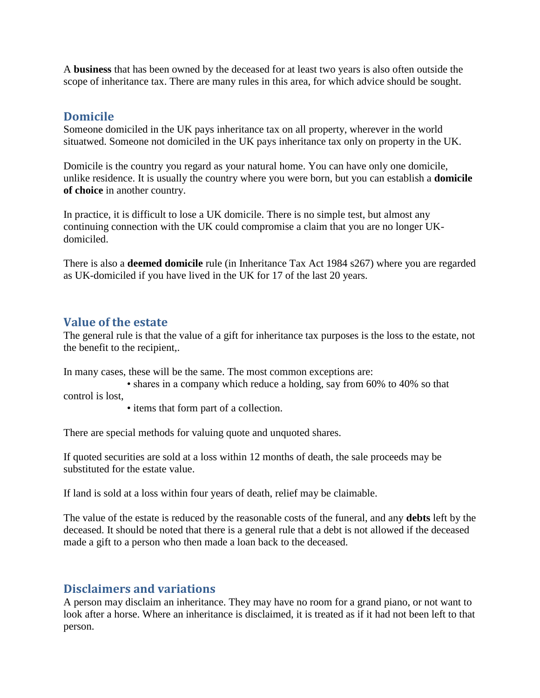A **business** that has been owned by the deceased for at least two years is also often outside the scope of inheritance tax. There are many rules in this area, for which advice should be sought.

#### **Domicile**

Someone domiciled in the UK pays inheritance tax on all property, wherever in the world situatwed. Someone not domiciled in the UK pays inheritance tax only on property in the UK.

Domicile is the country you regard as your natural home. You can have only one domicile, unlike residence. It is usually the country where you were born, but you can establish a **domicile of choice** in another country.

In practice, it is difficult to lose a UK domicile. There is no simple test, but almost any continuing connection with the UK could compromise a claim that you are no longer UKdomiciled.

There is also a **deemed domicile** rule (in Inheritance Tax Act 1984 s267) where you are regarded as UK-domiciled if you have lived in the UK for 17 of the last 20 years.

### **Value of the estate**

The general rule is that the value of a gift for inheritance tax purposes is the loss to the estate, not the benefit to the recipient,.

In many cases, these will be the same. The most common exceptions are:

• shares in a company which reduce a holding, say from 60% to 40% so that control is lost,

• items that form part of a collection.

There are special methods for valuing quote and unquoted shares.

If quoted securities are sold at a loss within 12 months of death, the sale proceeds may be substituted for the estate value.

If land is sold at a loss within four years of death, relief may be claimable.

The value of the estate is reduced by the reasonable costs of the funeral, and any **debts** left by the deceased. It should be noted that there is a general rule that a debt is not allowed if the deceased made a gift to a person who then made a loan back to the deceased.

#### **Disclaimers and variations**

A person may disclaim an inheritance. They may have no room for a grand piano, or not want to look after a horse. Where an inheritance is disclaimed, it is treated as if it had not been left to that person.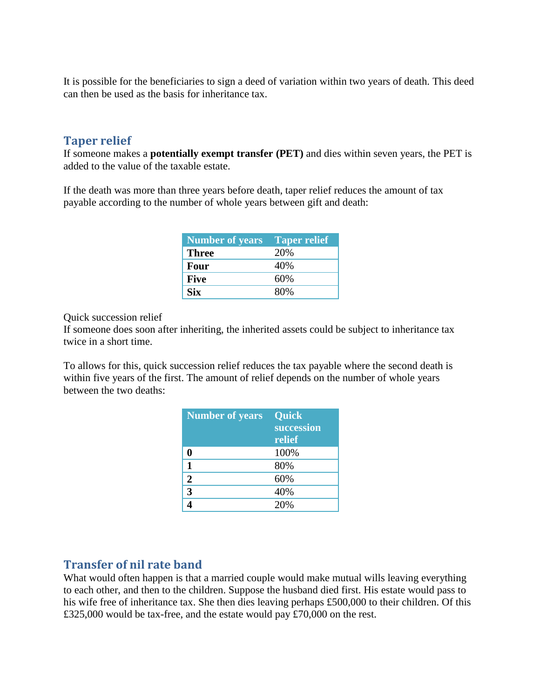It is possible for the beneficiaries to sign a deed of variation within two years of death. This deed can then be used as the basis for inheritance tax.

#### **Taper relief**

If someone makes a **potentially exempt transfer (PET)** and dies within seven years, the PET is added to the value of the taxable estate.

If the death was more than three years before death, taper relief reduces the amount of tax payable according to the number of whole years between gift and death:

| <b>Number of years</b> | <b>Taper relief</b> |
|------------------------|---------------------|
| <b>Three</b>           | 20%                 |
| <b>Four</b>            | 40%                 |
| <b>Five</b>            | 60%                 |
| <b>Six</b>             | 80%                 |

Quick succession relief

If someone does soon after inheriting, the inherited assets could be subject to inheritance tax twice in a short time.

To allows for this, quick succession relief reduces the tax payable where the second death is within five years of the first. The amount of relief depends on the number of whole years between the two deaths:

| <b>Number</b> of years | <b>Quick</b> |
|------------------------|--------------|
|                        | succession   |
|                        | relief       |
|                        | 100%         |
|                        | 80%          |
| 2                      | 60%          |
| 3                      | 40%          |
|                        | 20%          |

## **Transfer of nil rate band**

What would often happen is that a married couple would make mutual wills leaving everything to each other, and then to the children. Suppose the husband died first. His estate would pass to his wife free of inheritance tax. She then dies leaving perhaps £500,000 to their children. Of this £325,000 would be tax-free, and the estate would pay £70,000 on the rest.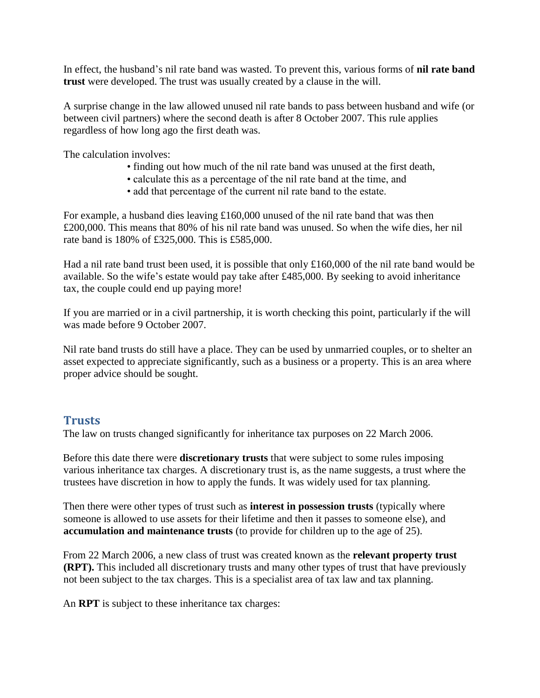In effect, the husband's nil rate band was wasted. To prevent this, various forms of **nil rate band trust** were developed. The trust was usually created by a clause in the will.

A surprise change in the law allowed unused nil rate bands to pass between husband and wife (or between civil partners) where the second death is after 8 October 2007. This rule applies regardless of how long ago the first death was.

The calculation involves:

- finding out how much of the nil rate band was unused at the first death,
- calculate this as a percentage of the nil rate band at the time, and
- add that percentage of the current nil rate band to the estate.

For example, a husband dies leaving  $\pounds160,000$  unused of the nil rate band that was then £200,000. This means that 80% of his nil rate band was unused. So when the wife dies, her nil rate band is 180% of £325,000. This is £585,000.

Had a nil rate band trust been used, it is possible that only £160,000 of the nil rate band would be available. So the wife's estate would pay take after £485,000. By seeking to avoid inheritance tax, the couple could end up paying more!

If you are married or in a civil partnership, it is worth checking this point, particularly if the will was made before 9 October 2007.

Nil rate band trusts do still have a place. They can be used by unmarried couples, or to shelter an asset expected to appreciate significantly, such as a business or a property. This is an area where proper advice should be sought.

## **Trusts**

The law on trusts changed significantly for inheritance tax purposes on 22 March 2006.

Before this date there were **discretionary trusts** that were subject to some rules imposing various inheritance tax charges. A discretionary trust is, as the name suggests, a trust where the trustees have discretion in how to apply the funds. It was widely used for tax planning.

Then there were other types of trust such as **interest in possession trusts** (typically where someone is allowed to use assets for their lifetime and then it passes to someone else), and **accumulation and maintenance trusts** (to provide for children up to the age of 25).

From 22 March 2006, a new class of trust was created known as the **relevant property trust (RPT).** This included all discretionary trusts and many other types of trust that have previously not been subject to the tax charges. This is a specialist area of tax law and tax planning.

An **RPT** is subject to these inheritance tax charges: